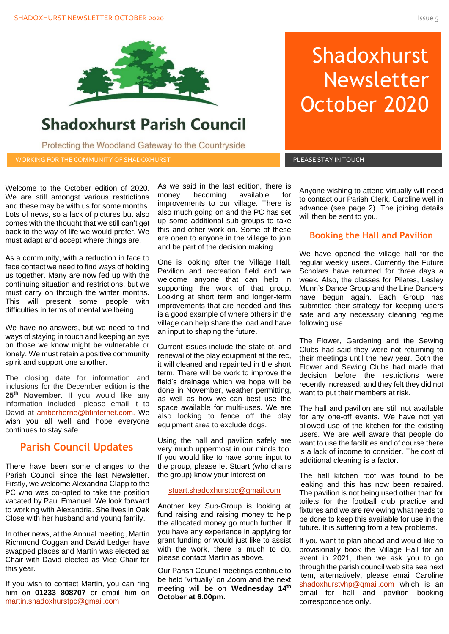

## **Shadoxhurst Parish Council**

Protecting the Woodland Gateway to the Countryside

WORKING FOR THE COMMUNITY OF SHADOXHURST AND RESIDENT RELEASE STAY IN TOUCH

# **Shadoxhurst** Newsletter October 2020

Welcome to the October edition of 2020. We are still amongst various restrictions and these may be with us for some months. Lots of news, so a lack of pictures but also comes with the thought that we still can't get back to the way of life we would prefer. We must adapt and accept where things are.

As a community, with a reduction in face to face contact we need to find ways of holding us together. Many are now fed up with the continuing situation and restrictions, but we must carry on through the winter months. This will present some people with difficulties in terms of mental wellbeing.

We have no answers, but we need to find ways of staying in touch and keeping an eye on those we know might be vulnerable or lonely. We must retain a positive community spirit and support one another.

The closing date for information and inclusions for the December edition is **the 25th November**. If you would like any information included, please email it to David at **amberherne@btinternet.com**. We wish you all well and hope everyone continues to stay safe.

## **Parish Council Updates**

There have been some changes to the Parish Council since the last Newsletter. Firstly, we welcome Alexandria Clapp to the PC who was co-opted to take the position vacated by Paul Emanuel. We look forward to working with Alexandria. She lives in Oak Close with her husband and young family.

In other news, at the Annual meeting, Martin Richmond Coggan and David Ledger have swapped places and Martin was elected as Chair with David elected as Vice Chair for this year.

If you wish to contact Martin, you can ring him on **01233 808707** or email him on [martin.shadoxhurstpc@gmail.com](mailto:martin.shadoxhurstpc@gmail.com)

As we said in the last edition, there is money becoming available for improvements to our village. There is also much going on and the PC has set up some additional sub-groups to take this and other work on. Some of these are open to anyone in the village to join and be part of the decision making.

One is looking after the Village Hall, Pavilion and recreation field and we welcome anyone that can help in supporting the work of that group. Looking at short term and longer-term improvements that are needed and this is a good example of where others in the village can help share the load and have an input to shaping the future.

Current issues include the state of, and renewal of the play equipment at the rec, it will cleaned and repainted in the short term. There will be work to improve the field's drainage which we hope will be done in November, weather permitting, as well as how we can best use the space available for multi-uses. We are also looking to fence off the play equipment area to exclude dogs.

Using the hall and pavilion safely are very much uppermost in our minds too. If you would like to have some input to the group, please let Stuart (who chairs the group) know your interest on

#### [stuart.shadoxhurstpc@gmail.com](mailto:stuart.shadoxhurstpc@gmail.com)

Another key Sub-Group is looking at fund raising and raising money to help the allocated money go much further. If you have any experience in applying for grant funding or would just like to assist with the work, there is much to do, please contact Martin as above.

Our Parish Council meetings continue to be held 'virtually' on Zoom and the next meeting will be on **Wednesday 14 th October at 6.00pm.**

Anyone wishing to attend virtually will need to contact our Parish Clerk, Caroline well in advance (see page 2). The joining details will then be sent to you.

## **Booking the Hall and Pavilion**

regular weekly users. Currently the Future<br>Scholars have returned for three days a We have opened the village hall for the regular weekly users. Currently the Future week. Also, the classes for Pilates, Lesley Munn's Dance Group and the Line Dancers have begun again. Each Group has submitted their strategy for keeping users safe and any necessary cleaning regime following use.

The Flower, Gardening and the Sewing Clubs had said they were not returning to their meetings until the new year. Both the Flower and Sewing Clubs had made that decision before the restrictions were recently increased, and they felt they did not want to put their members at risk.

The hall and pavilion are still not available for any one-off events. We have not yet allowed use of the kitchen for the existing users. We are well aware that people do want to use the facilities and of course there is a lack of income to consider. The cost of additional cleaning is a factor.

The hall kitchen roof was found to be leaking and this has now been repaired. The pavilion is not being used other than for toilets for the football club practice and fixtures and we are reviewing what needs to be done to keep this available for use in the future. It is suffering from a few problems.

If you want to plan ahead and would like to provisionally book the Village Hall for an event in 2021, then we ask you to go through the parish council web site see next item, alternatively, please email Caroline [shadoxhurstvhp@gmail.com](mailto:shadoxhurstvhp@gmail.com) which is an email for hall and pavilion booking correspondence only.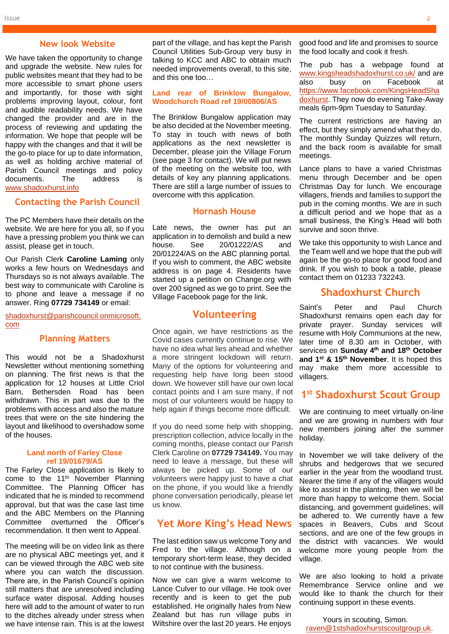#### **New look Website**

We have taken the opportunity to change and upgrade the website. New rules for public websites meant that they had to be more accessible to smart phone users and importantly, for those with sight problems improving layout, colour, font and audible readability needs. We have changed the provider and are in the process of reviewing and updating the information. We hope that people will be happy with the changes and that it will be the go-to place for up to date information, as well as holding archive material of Parish Council meetings and policy documents. The address is [www.shadoxhurst.info](http://www.shadoxhurst.info/)

#### **Contacting the Parish Council**

The PC Members have their details on the website. We are here for you all, so if you have a pressing problem you think we can assist, please get in touch.

Our Parish Clerk **Caroline Laming** only works a few hours on Wednesdays and Thursdays so is not always available. The best way to communicate with Caroline is to phone and leave a message if no answer. Ring **07729 734149** or email:

[shadoxhurst@parishcouncil.onmicrosoft.](mailto:shadoxhurst@parishcouncil.onmicrosoft.com) [com](mailto:shadoxhurst@parishcouncil.onmicrosoft.com)

#### **Planning Matters**

This would not be a Shadoxhurst Newsletter without mentioning something on planning. The first news is that the application for 12 houses at Little Criol Barn, Bethersden Road has been withdrawn. This in part was due to the problems with access and also the mature trees that were on the site hindering the layout and likelihood to overshadow some of the houses.

#### **Land north of Farley Close ref 19/01679/AS**

The Farley Close application is likely to come to the 11<sup>th</sup> November Planning Committee. The Planning Officer has indicated that he is minded to recommend approval, but that was the case last time and the ABC Members on the Planning Committee overturned the Officer's recommendation. It then went to Appeal.

The meeting will be on video link as there are no physical ABC meetings yet, and it can be viewed through the ABC web site where you can watch the discussion. There are, in the Parish Council's opinion still matters that are unresolved including surface water disposal. Adding houses here will add to the amount of water to run to the ditches already under stress when we have intense rain. This is at the lowest

part of the village, and has kept the Parish Council Utilities Sub-Group very busy in talking to KCC and ABC to obtain much needed improvements overall, to this site, and this one too…

#### **Land rear of Brinklow Bungalow, Woodchurch Road ref 19/00806/AS**

The Brinklow Bungalow application may be also decided at the November meeting. To stay in touch with news of both applications as the next newsletter is December, please join the Village Forum (see page 3 for contact). We will put news of the meeting on the website too, with details of key any planning applications. There are still a large number of issues to overcome with this application.

#### **Hornash House**

Late news, the owner has put an application in to demolish and build a new house. See 20/01222/AS and 20/01224/AS on the ABC planning portal. If you wish to comment, the ABC website address is on page 4. Residents have started up a petition on Change.org with over 200 signed as we go to print. See the Village Facebook page for the link.

#### **Volunteering**

Once again, we have restrictions as the Covid cases currently continue to rise. We have no idea what lies ahead and whether a more stringent lockdown will return. Many of the options for volunteering and requesting help have long been stood down. We however still have our own local contact points and I am sure many, if not most of our volunteers would be happy to help again if things become more difficult.

If you do need some help with shopping, prescription collection, advice locally in the coming months, please contact our Parish Clerk Caroline on **07729 734149.** You may need to leave a message, but these will always be picked up. Some of our volunteers were happy just to have a chat on the phone, if you would like a friendly phone conversation periodically, please let us know.

#### **Yet More King's Head News**

The last edition saw us welcome Tony and Fred to the village. Although on a temporary short-term lease, they decided to not continue with the business.

Now we can give a warm welcome to Lance Culver to our village. He took over recently and is keen to get the pub established. He originally hales from New Zealand but has run village pubs in Wiltshire over the last 20 years. He enjoys

good food and life and promises to source the food locally and cook it fresh.

The pub has a webpage found at [www.kingsheadshadoxhurst.co.uk/](http://www.kingsheadshadoxhurst.co.uk/) and are also busy on Facebook at [https://www.facebook.com/KingsHeadSha](https://www.facebook.com/KingsHeadShadoxhurst) [doxhurst.](https://www.facebook.com/KingsHeadShadoxhurst) They now do evening Take-Away meals 6pm-9pm Tuesday to Saturday.

The current restrictions are having an effect, but they simply amend what they do. The monthly Sunday Quizzes will return, and the back room is available for small meetings.

Lance plans to have a varied Christmas menu through December and be open Christmas Day for lunch. We encourage villagers, friends and families to support the pub in the coming months. We are in such a difficult period and we hope that as a small business, the King's Head will both survive and soon thrive.

We take this opportunity to wish Lance and the Team well and we hope that the pub will again be the go-to place for good food and drink. If you wish to book a table, please contact them on 01233 732243.

## **Shadoxhurst Church**

Saint's Peter and Paul Church Shadoxhurst remains open each day for private prayer. Sunday services will resume with Holy Communions at the new, later time of 8.30 am in October, with services on **Sunday 4 th and 18th October and 1 st & 15th November**. It is hoped this may make them more accessible to villagers.

## **1 st Shadoxhurst Scout Group**

We are continuing to meet virtually on-line and we are growing in numbers with four new members joining after the summer holiday.

In November we will take delivery of the shrubs and hedgerows that we secured earlier in the year from the woodland trust. Nearer the time if any of the villagers would like to assist in the planting, then we will be more than happy to welcome them. Social distancing, and government guidelines, will be adhered to. We currently have a few spaces in Beavers, Cubs and Scout sections, and are one of the few groups in the district with vacancies. We would welcome more young people from the village.

We are also looking to hold a private Remembrance Service online and we would like to thank the church for their continuing support in these events.

Yours in scouting, Simon. [raven@1stshadoxhurstscoutgroup.uk.](mailto:raven@1stshadoxhurstscoutgroup.uk)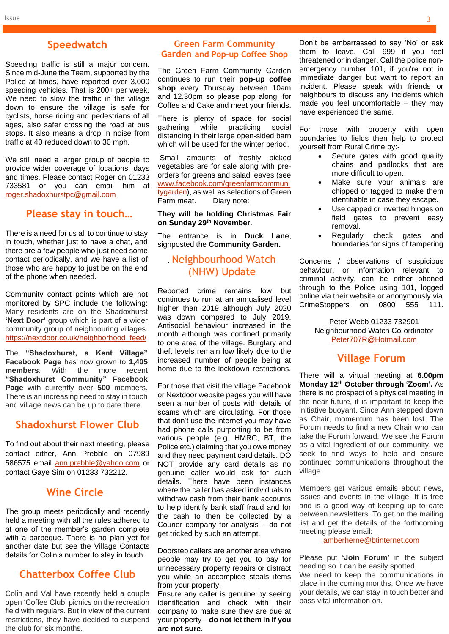## **Speedwatch**

Speeding traffic is still a major concern. Since mid-June the Team, supported by the Police at times, have reported over 3,000 speeding vehicles. That is 200+ per week. We need to slow the traffic in the village down to ensure the village is safe for cyclists, horse riding and pedestrians of all ages, also safer crossing the road at bus stops. It also means a drop in noise from traffic at 40 reduced down to 30 mph.

We still need a larger group of people to provide wider coverage of locations, days and times. Please contact Roger on 01233 733581 or you can email him at [roger.shadoxhurstpc@gmail.com](mailto:roger.shadoxhurstpc@gmail.com)

## **Please stay in touch…**

There is a need for us all to continue to stay in touch, whether just to have a chat, and there are a few people who just need some contact periodically, and we have a list of those who are happy to just be on the end of the phone when needed.

Community contact points which are not monitored by SPC include the following: Many residents are on the Shadoxhurst **'Next Door'** group which is part of a wider community group of neighbouring villages. [https://nextdoor.co.uk/neighborhood\\_feed/](https://nextdoor.co.uk/neighborhood_feed/)

The **"Shadoxhurst, a Kent Village" Facebook Page** has now grown to **1,405 members**. With the more recent **"Shadoxhurst Community" Facebook Page** with currently over **500** members. There is an increasing need to stay in touch and village news can be up to date there.

## **Shadoxhurst Flower Club**

To find out about their next meeting, please contact either, Ann Prebble on 07989 586575 email [ann.prebble@yahoo.com](mailto:ann.prebble@yahoo.com) or contact Gaye Sim on 01233 732212.

## **Wine Circle**

The group meets periodically and recently held a meeting with all the rules adhered to at one of the member's garden complete with a barbeque. There is no plan yet for another date but see the Village Contacts details for Colin's number to stay in touch.

## **Chatterbox Coffee Club**

Colin and Val have recently held a couple open 'Coffee Club' picnics on the recreation field with regulars. But in view of the current restrictions, they have decided to suspend the club for six months.

## **Green Farm Community Garden and Pop-up Coffee Shop**

The Green Farm Community Garden continues to run their **pop-up coffee shop** every Thursday between 10am and 12.30pm so please pop along, for Coffee and Cake and meet your friends.

There is plenty of space for social gathering while practicing social distancing in their large open-sided barn which will be used for the winter period.

Small amounts of freshly picked vegetables are for sale along with preorders for greens and salad leaves (see [www.facebook.com/greenfarmcommuni](http://www.facebook.com/greenfarmcommunitygarden) [tygarden\)](http://www.facebook.com/greenfarmcommunitygarden), as well as selections of Green Farm meat. Diary note:

#### **They will be holding Christmas Fair on Sunday 29th November**.

The entrance is in **Duck Lane**, signposted the **Community Garden.**

## . Neighbourhood Watch (NHW) Update

Reported crime remains low but continues to run at an annualised level higher than 2019 although July 2020 was down compared to July 2019. Antisocial behaviour increased in the month although was confined primarily to one area of the village. Burglary and theft levels remain low likely due to the increased number of people being at home due to the lockdown restrictions.

For those that visit the village Facebook or Nextdoor website pages you will have seen a number of posts with details of scams which are circulating. For those that don't use the internet you may have had phone calls purporting to be from various people (e.g. HMRC, BT, the Police etc.) claiming that you owe money and they need payment card details. DO NOT provide any card details as no genuine caller would ask for such details. There have been instances where the caller has asked individuals to withdraw cash from their bank accounts to help identify bank staff fraud and for the cash to then be collected by a Courier company for analysis – do not get tricked by such an attempt.

Doorstep callers are another area where people may try to get you to pay for unnecessary property repairs or distract you while an accomplice steals items from your property.

Ensure any caller is genuine by seeing identification and check with their company to make sure they are due at your property – **do not let them in if you are not sure**.

Don't be embarrassed to say 'No' or ask them to leave. Call 999 if you feel threatened or in danger. Call the police nonemergency number 101, if you're not in immediate danger but want to report an incident. Please speak with friends or neighbours to discuss any incidents which made you feel uncomfortable – they may have experienced the same.

For those with property with open boundaries to fields then help to protect yourself from Rural Crime by:-

- Secure gates with good quality chains and padlocks that are more difficult to open.
- Make sure your animals are chipped or tagged to make them identifiable in case they escape.
- Use capped or inverted hinges on field gates to prevent easy removal.
- Regularly check gates and boundaries for signs of tampering

Concerns / observations of suspicious behaviour, or information relevant to criminal activity, can be either phoned through to the Police using 101, logged online via their website or anonymously via CrimeStoppers on 0800 555 111.

> Peter Webb 01233 732901 Neighbourhood Watch Co-ordinator [Peter707R@Hotmail.com](mailto:Peter707R@Hotmail.com)

## **Village Forum**

There will a virtual meeting at **6.00pm Monday 12 th October through 'Zoom'.** As there is no prospect of a physical meeting in the near future, it is important to keep the initiative buoyant. Since Ann stepped down as Chair, momentum has been lost. The Forum needs to find a new Chair who can take the Forum forward. We see the Forum as a vital ingredient of our community, we seek to find ways to help and ensure continued communications throughout the village.

Members get various emails about news, issues and events in the village. It is free and is a good way of keeping up to date between newsletters. To get on the mailing list and get the details of the forthcoming meeting please email:

#### [amberherne@btinternet.com](mailto:amberherne@btinternet.com)

Please put **'Join Forum'** in the subject heading so it can be easily spotted. We need to keep the communications in place in the coming months. Once we have your details, we can stay in touch better and pass vital information on.